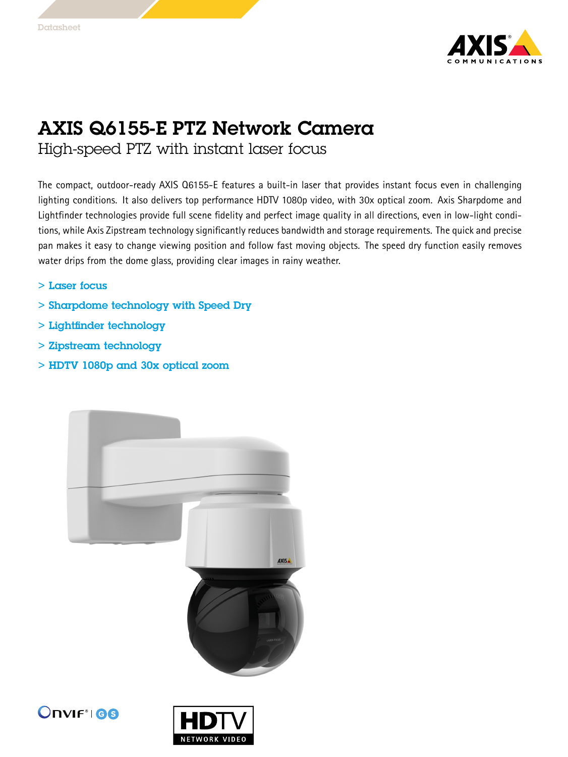

## AXIS Q6155-E PTZ Network Camera

High-speed PTZ with instant laser focus

The compact, outdoor-ready AXIS Q6155-E features <sup>a</sup> built-in laser that provides instant focus even in challenging lighting conditions. It also delivers top performance HDTV 1080p video, with 30x optical zoom. Axis Sharpdome and Lightfinder technologies provide full scene fidelity and perfect image quality in all directions, even in low-light conditions, while Axis Zipstream technology significantly reduces bandwidth and storage requirements. The quick and precise pan makes it easy to change viewing position and follow fast moving objects. The speed dry function easily removes water drips from the dome glass, providing clear images in rainy weather.

- > Laser focus
- > Sharpdome technology with Speed Dry
- > Lightfinder technology
- > Zipstream technology
- > HDTV 1080p and 30x optical zoom





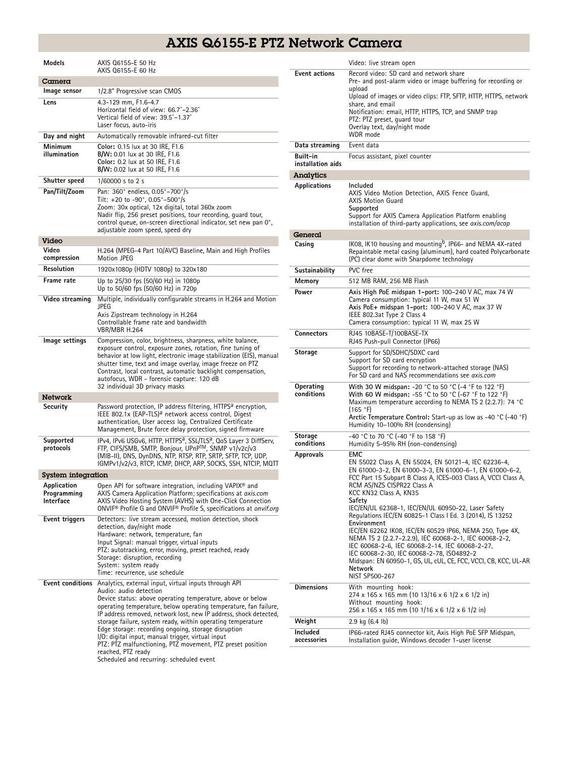## AXIS Q6155-E PTZ Network Camera

| Models                                    | AXIS Q6155-E 50 Hz<br>AXIS Q6155-E 60 Hz                                                                                                                                                                                                                                                                                                                                                                                                                                                                                                 |
|-------------------------------------------|------------------------------------------------------------------------------------------------------------------------------------------------------------------------------------------------------------------------------------------------------------------------------------------------------------------------------------------------------------------------------------------------------------------------------------------------------------------------------------------------------------------------------------------|
| Camera                                    |                                                                                                                                                                                                                                                                                                                                                                                                                                                                                                                                          |
| lmage sensor                              | 1/2.8" Progressive scan CMOS                                                                                                                                                                                                                                                                                                                                                                                                                                                                                                             |
| Lens                                      | 4.3-129 mm, F1.6-4.7<br>Horizontal field of view: 66.7°-2.36°<br>Vertical field of view: 39.5°-1.37°<br>Laser focus, auto-iris                                                                                                                                                                                                                                                                                                                                                                                                           |
| Day and night                             | Automatically removable infrared-cut filter                                                                                                                                                                                                                                                                                                                                                                                                                                                                                              |
| Minimum<br>illumination                   | Color: 0.15 lux at 30 IRE, F1.6<br>B/W: 0.01 lux at 30 IRE, F1.6<br>Color: 0.2 lux at 50 IRE, F1.6<br>B/W: 0.02 lux at 50 IRE, F1.6                                                                                                                                                                                                                                                                                                                                                                                                      |
| Shutter speed                             | 1/60000 s to 2 s                                                                                                                                                                                                                                                                                                                                                                                                                                                                                                                         |
| Pan/Tilt/Zoom                             | Pan: 360° endless, 0.05°-700°/s<br>Tilt: +20 to -90°, 0.05°-500°/s<br>Zoom: 30x optical, 12x digital, total 360x zoom<br>Nadir flip, 256 preset positions, tour recording, quard tour,<br>control queue, on-screen directional indicator, set new pan 0°,<br>adjustable zoom speed, speed dry                                                                                                                                                                                                                                            |
| Video                                     |                                                                                                                                                                                                                                                                                                                                                                                                                                                                                                                                          |
| Video<br>compression                      | H.264 (MPEG-4 Part 10/AVC) Baseline, Main and High Profiles<br><b>Motion JPEG</b>                                                                                                                                                                                                                                                                                                                                                                                                                                                        |
| Resolution                                | 1920x1080p (HDTV 1080p) to 320x180                                                                                                                                                                                                                                                                                                                                                                                                                                                                                                       |
| Frame rate                                | Up to 25/30 fps (50/60 Hz) in 1080p<br>Up to 50/60 fps (50/60 Hz) in 720p                                                                                                                                                                                                                                                                                                                                                                                                                                                                |
| Video streaming                           | Multiple, individually configurable streams in H.264 and Motion<br>JPEG<br>Axis Zipstream technology in H.264<br>Controllable frame rate and bandwidth<br>VBR/MBR H.264                                                                                                                                                                                                                                                                                                                                                                  |
| lmage settings                            | Compression, color, brightness, sharpness, white balance,<br>exposure control, exposure zones, rotation, fine tuning of<br>behavior at low light, electronic image stabilization (EIS), manual<br>shutter time, text and image overlay, image freeze on PTZ<br>Contrast, local contrast, automatic backlight compensation,<br>autofocus, WDR - forensic capture: 120 dB<br>32 individual 3D privacy masks                                                                                                                                |
| <b>Network</b>                            |                                                                                                                                                                                                                                                                                                                                                                                                                                                                                                                                          |
| Security                                  | Password protection, IP address filtering, HTTPS <sup>a</sup> encryption,<br>IEEE 802.1x (EAP-TLS) <sup>a</sup> network access control, Digest<br>authentication, User access log, Centralized Certificate<br>Management, Brute force delay protection, signed firmware                                                                                                                                                                                                                                                                  |
| Supported<br>protocols                    | IPv4, IPv6 USGv6, HTTP, HTTPS <sup>a</sup> , SSL/TLS <sup>a</sup> , QoS Layer 3 DiffServ,<br>FTP, CIFS/SMB, SMTP, Bonjour, UPnP™, SNMP v1/v2c/v3<br>(MIB-II), DNS, DynDNS, NTP, RTSP, RTP, SRTP, SFTP, TCP, UDP,<br>IGMPv1/v2/v3, RTCP, ICMP, DHCP, ARP, SOCKS, SSH, NTCIP, MQTT                                                                                                                                                                                                                                                         |
| System integration                        |                                                                                                                                                                                                                                                                                                                                                                                                                                                                                                                                          |
| Application<br>Programming<br>Interface   | Open API for software integration, including VAPIX® and<br>AXIS Camera Application Platform; specifications at axis.com<br>AXIS Video Hosting System (AVHS) with One-Click Connection<br>ONVIF® Profile G and ONVIF® Profile S, specifications at onvif.org                                                                                                                                                                                                                                                                              |
| Event triggers<br><b>Event conditions</b> | Detectors: live stream accessed, motion detection, shock<br>detection, day/night mode<br>Hardware: network, temperature, fan<br>Input Signal: manual trigger, virtual inputs<br>PTZ: autotracking, error, moving, preset reached, ready<br>Storage: disruption, recording<br>System: system ready<br>Time: recurrence, use schedule<br>Analytics, external input, virtual inputs through API                                                                                                                                             |
|                                           | Audio: audio detection<br>Device status: above operating temperature, above or below<br>operating temperature, below operating temperature, fan failure,<br>IP address removed, network lost, new IP address, shock detected,<br>storage failure, system ready, within operating temperature<br>Edge storage: recording ongoing, storage disruption<br>I/O: digital input, manual trigger, virtual input<br>PTZ: PTZ malfunctioning, PTZ movement, PTZ preset position<br>reached, PTZ ready<br>Scheduled and recurring: scheduled event |

|                               | Video: live stream open                                                                                                                                                                                                                                                                                                                                                                                     |
|-------------------------------|-------------------------------------------------------------------------------------------------------------------------------------------------------------------------------------------------------------------------------------------------------------------------------------------------------------------------------------------------------------------------------------------------------------|
| <b>Event actions</b>          | Record video: SD card and network share<br>Pre- and post-alarm video or image buffering for recording or<br>upload<br>Upload of images or video clips: FTP, SFTP, HTTP, HTTPS, network<br>share, and email<br>Notification: email, HTTP, HTTPS, TCP, and SNMP trap<br>PTZ: PTZ preset, guard tour<br>Overlay text, day/night mode<br>WDR mode                                                               |
| Data streaming                | Event data                                                                                                                                                                                                                                                                                                                                                                                                  |
| Built-in<br>installation aids | Focus assistant, pixel counter                                                                                                                                                                                                                                                                                                                                                                              |
| <b>Analytics</b>              |                                                                                                                                                                                                                                                                                                                                                                                                             |
| Applications                  | Included<br>AXIS Video Motion Detection, AXIS Fence Guard,<br><b>AXIS Motion Guard</b><br>Supported<br>Support for AXIS Camera Application Platform enabling<br>installation of third-party applications, see axis.com/acap                                                                                                                                                                                 |
| General                       |                                                                                                                                                                                                                                                                                                                                                                                                             |
| Casing                        | IK08, IK10 housing and mounting <sup>b</sup> , IP66- and NEMA 4X-rated<br>Repaintable metal casing (aluminum), hard coated Polycarbonate<br>(PC) clear dome with Sharpdome technology                                                                                                                                                                                                                       |
| Sustainability                | PVC free                                                                                                                                                                                                                                                                                                                                                                                                    |
| Memory                        | 512 MB RAM, 256 MB Flash                                                                                                                                                                                                                                                                                                                                                                                    |
| Power                         | Axis High PoE midspan 1-port: 100-240 V AC, max 74 W<br>Camera consumption: typical 11 W, max 51 W<br>Axis PoE+ midspan 1-port: 100-240 V AC, max 37 W<br>IEEE 802.3at Type 2 Class 4<br>Camera consumption: typical 11 W, max 25 W                                                                                                                                                                         |
| <b>Connectors</b>             | RJ45 10BASE-T/100BASE-TX<br>RJ45 Push-pull Connector (IP66)                                                                                                                                                                                                                                                                                                                                                 |
| Storage                       | Support for SD/SDHC/SDXC card<br>Support for SD card encryption<br>Support for recording to network-attached storage (NAS)<br>For SD card and NAS recommendations see <i>gxis.com</i>                                                                                                                                                                                                                       |
| Operating<br>conditions       | With 30 W midspan: -20 °C to 50 °C (-4 °F to 122 °F)<br>With 60 W midspan: -55 °C to 50 °C (-67 °F to 122 °F)<br>Maximum temperature according to NEMA TS 2 (2.2.7): 74 °C<br>(165 °F)<br>Arctic Temperature Control: Start-up as low as -40 °C (-40 °F)<br>Humidity 10-100% RH (condensing)                                                                                                                |
| Storage<br>conditions         | -40 °C to 70 °C (-40 °F to 158 °F)<br>Humidity 5-95% RH (non-condensing)                                                                                                                                                                                                                                                                                                                                    |
| <b>Approvals</b>              | EMC<br>EN 55022 Class A, EN 55024, EN 50121-4, IEC 62236-4,<br>EN 61000-3-2, EN 61000-3-3, EN 61000-6-1, EN 61000-6-2,<br>FCC Part 15 Subpart B Class A, ICES-003 Class A, VCCI Class A,<br>RCM AS/NZS CISPR22 Class A<br>KCC KN32 Class A, KN35<br>Safety<br>IEC/EN/UL 62368-1, IEC/EN/UL 60950-22, Laser Safety                                                                                           |
|                               | Regulations IEC/EN 60825-1 Class I Ed. 3 (2014), IS 13252<br>Environment<br>IEC/EN 62262 IK08, IEC/EN 60529 IP66, NEMA 250, Type 4X,<br>NEMA TS 2 (2.2.7-2.2.9), IEC 60068-2-1, IEC 60068-2-2,<br>IEC 60068-2-6, IEC 60068-2-14, IEC 60068-2-27,<br>IEC 60068-2-30, IEC 60068-2-78, ISO4892-2<br>Midspan: EN 60950-1, GS, UL, cUL, CE, FCC, VCCI, CB, KCC, UL-AR<br><b>Network</b><br><b>NIST SP500-267</b> |
| <b>Dimensions</b>             | With mounting hook:<br>274 x 165 x 165 mm (10 13/16 x 6 1/2 x 6 1/2 in)<br>Without mounting hook:<br>256 x 165 x 165 mm (10 1/16 x 6 1/2 x 6 1/2 in)                                                                                                                                                                                                                                                        |
| Weight                        | 2.9 kg (6.4 lb)                                                                                                                                                                                                                                                                                                                                                                                             |
| Included<br>accessories       | IP66-rated RJ45 connector kit, Axis High PoE SFP Midspan,<br>Installation quide, Windows decoder 1-user license                                                                                                                                                                                                                                                                                             |